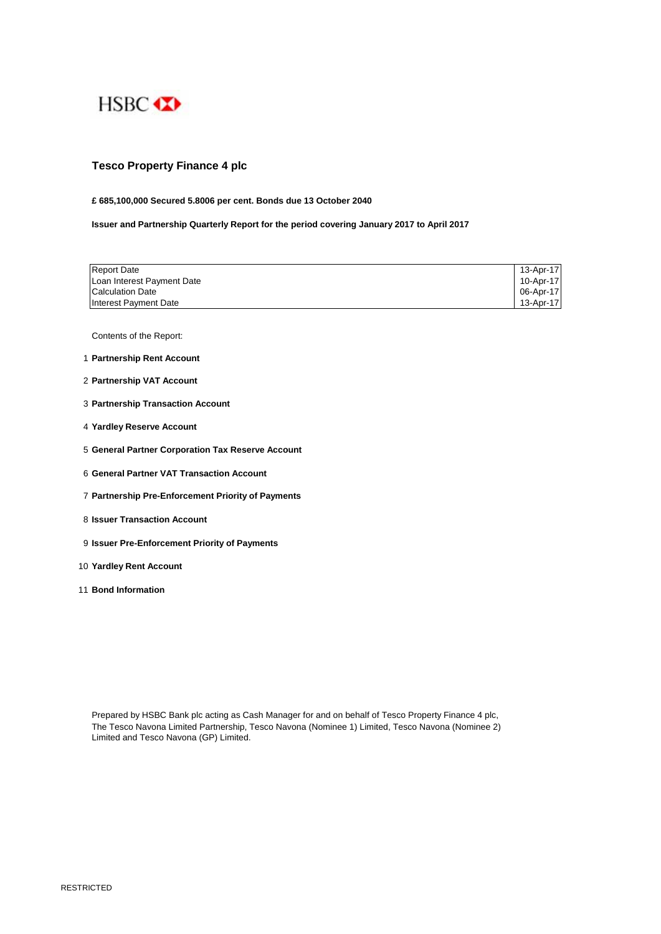

# **Tesco Property Finance 4 plc**

## **£ 685,100,000 Secured 5.8006 per cent. Bonds due 13 October 2040**

**Issuer and Partnership Quarterly Report for the period covering January 2017 to April 2017**

| <b>Report Date</b>         | 13-Apr-17 |
|----------------------------|-----------|
| Loan Interest Payment Date | 10-Apr-17 |
| <b>Calculation Date</b>    | 06-Apr-17 |
| Interest Payment Date      | 13-Apr-17 |

Contents of the Report:

- 1 **Partnership Rent Account**
- 2 **Partnership VAT Account**
- 3 **Partnership Transaction Account**
- 4 **Yardley Reserve Account**
- 5 **General Partner Corporation Tax Reserve Account**
- 6 **General Partner VAT Transaction Account**
- 7 **Partnership Pre-Enforcement Priority of Payments**
- 8 **Issuer Transaction Account**
- 9 **Issuer Pre-Enforcement Priority of Payments**
- 10 **Yardley Rent Account**
- 11 **Bond Information**

Prepared by HSBC Bank plc acting as Cash Manager for and on behalf of Tesco Property Finance 4 plc, The Tesco Navona Limited Partnership, Tesco Navona (Nominee 1) Limited, Tesco Navona (Nominee 2) Limited and Tesco Navona (GP) Limited.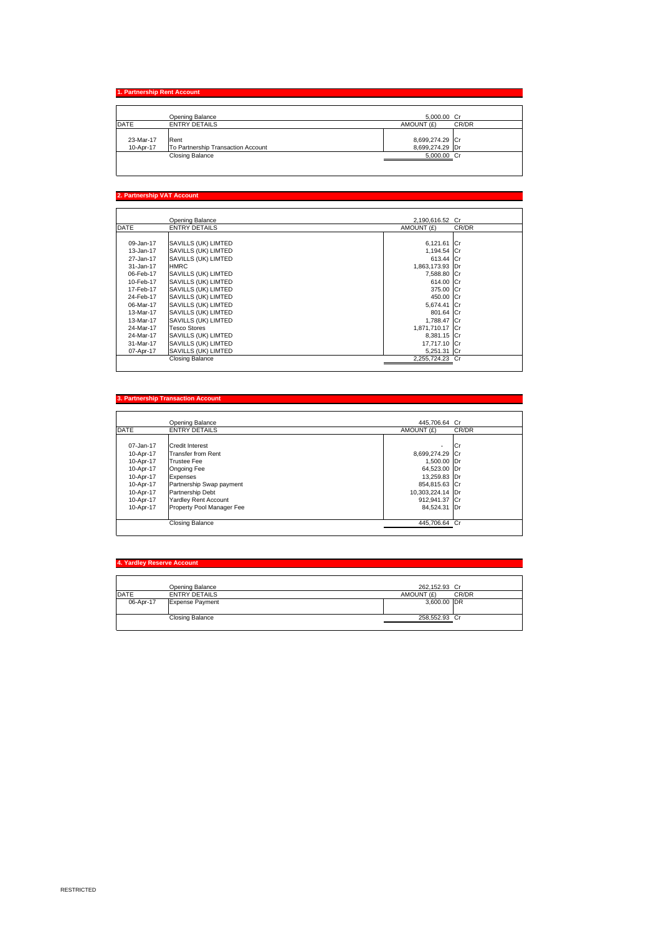# **1. Partnership Rent Account**

|           | Opening Balance                    | 5.000.00 Cr     |       |
|-----------|------------------------------------|-----------------|-------|
| DATE      | <b>ENTRY DETAILS</b>               | AMOUNT (£)      | CR/DR |
|           |                                    |                 |       |
| 23-Mar-17 | Rent                               | 8,699,274.29 Cr |       |
| 10-Apr-17 | To Partnership Transaction Account | 8,699,274.29 Dr |       |
|           | Closing Balance                    | 5.000.00 Cr     |       |
|           |                                    |                 |       |

### **2. Partnership VAT Account**

|             | Opening Balance        | 2,190,616.52 Cr |       |
|-------------|------------------------|-----------------|-------|
| <b>DATE</b> | <b>ENTRY DETAILS</b>   | AMOUNT (£)      | CR/DR |
|             |                        |                 |       |
| 09-Jan-17   | SAVILLS (UK) LIMTED    | 6,121.61 Cr     |       |
| 13-Jan-17   | SAVILLS (UK) LIMTED    | 1.194.54 Cr     |       |
| 27-Jan-17   | SAVILLS (UK) LIMTED    | 613.44 Cr       |       |
| 31-Jan-17   | <b>HMRC</b>            | 1,863,173.93 Dr |       |
| 06-Feb-17   | SAVILLS (UK) LIMTED    | 7,588.80 Cr     |       |
| 10-Feb-17   | SAVILLS (UK) LIMTED    | 614.00 Cr       |       |
| 17-Feb-17   | SAVILLS (UK) LIMTED    | 375.00 Cr       |       |
| 24-Feb-17   | SAVILLS (UK) LIMTED    | 450.00 Cr       |       |
| 06-Mar-17   | SAVILLS (UK) LIMTED    | 5,674.41 Cr     |       |
| 13-Mar-17   | SAVILLS (UK) LIMTED    | 801.64 Cr       |       |
| 13-Mar-17   | SAVILLS (UK) LIMTED    | 1,788.47 Cr     |       |
| 24-Mar-17   | <b>Tesco Stores</b>    | 1,871,710.17 Cr |       |
| 24-Mar-17   | SAVILLS (UK) LIMTED    | 8.381.15 Cr     |       |
| 31-Mar-17   | SAVILLS (UK) LIMTED    | 17.717.10 Cr    |       |
| 07-Apr-17   | SAVILLS (UK) LIMTED    | 5,251.31 Cr     |       |
|             | <b>Closing Balance</b> | 2,255,724.23 Cr |       |

### **3. Partnership Transaction Acc**

|             | Opening Balance             | 445.706.64 Cr            |       |
|-------------|-----------------------------|--------------------------|-------|
| <b>DATE</b> | <b>ENTRY DETAILS</b>        | AMOUNT (£)               | CR/DR |
|             |                             |                          |       |
| 07-Jan-17   | <b>Credit Interest</b>      | $\overline{\phantom{a}}$ | lCr   |
| 10-Apr-17   | <b>Transfer from Rent</b>   | 8,699,274.29 Cr          |       |
| 10-Apr-17   | <b>Trustee Fee</b>          | 1,500.00 Dr              |       |
| 10-Apr-17   | Ongoing Fee                 | 64,523.00 Dr             |       |
| 10-Apr-17   | Expenses                    | 13.259.83 Dr             |       |
| 10-Apr-17   | Partnership Swap payment    | 854,815.63 Cr            |       |
| 10-Apr-17   | Partnership Debt            | 10,303,224.14 Dr         |       |
| 10-Apr-17   | <b>Yardley Rent Account</b> | 912.941.37 Cr            |       |
| 10-Apr-17   | Property Pool Manager Fee   | 84.524.31 Dr             |       |
|             | Closing Balance             | 445.706.64 Cr            |       |

## **4. Yardley Reserve Account**

|             | Opening Balance        | 262.152.93 Cr |       |
|-------------|------------------------|---------------|-------|
| <b>DATE</b> | <b>ENTRY DETAILS</b>   | AMOUNT (£)    | CR/DR |
| 06-Apr-17   | <b>Expense Payment</b> | 3,600.00 DR   |       |
|             |                        |               |       |
|             | Closing Balance        | 258,552.93 Cr |       |
|             |                        |               |       |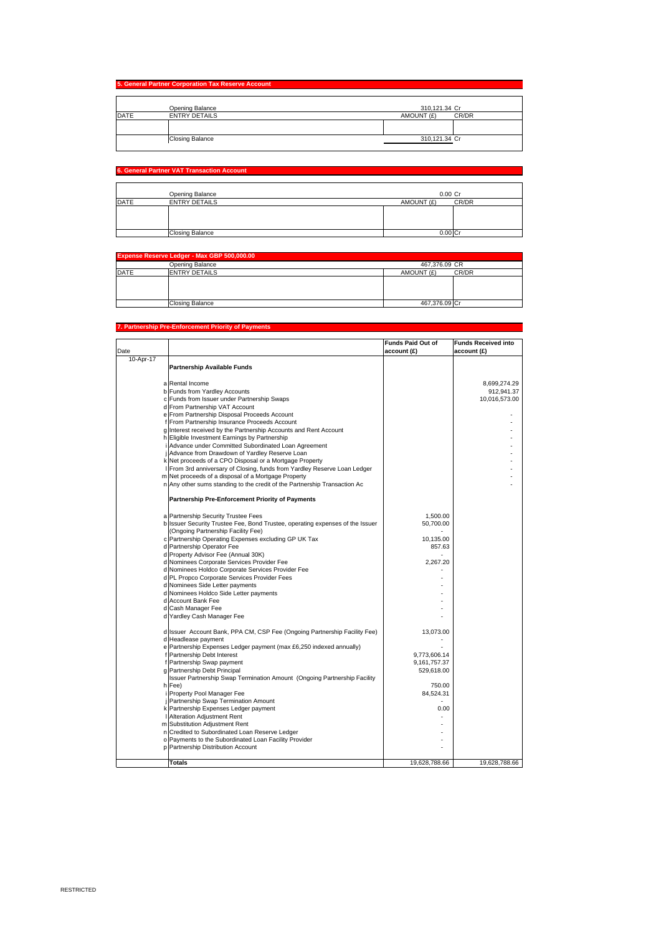|             | Opening Balance        | 310,121.34 Cr       |
|-------------|------------------------|---------------------|
|             |                        |                     |
| <b>DATE</b> | <b>ENTRY DETAILS</b>   | AMOUNT (£)<br>CR/DR |
|             |                        |                     |
|             |                        |                     |
|             | <b>Closing Balance</b> | 310,121.34 Cr       |

## **6. General Partner VAT Transaction Account**

|             | Opening Balance        | 0.00 Cr    |       |
|-------------|------------------------|------------|-------|
| <b>DATE</b> | <b>ENTRY DETAILS</b>   | AMOUNT (£) | CR/DR |
|             |                        |            |       |
|             |                        |            |       |
|             | <b>Closing Balance</b> | 0.00       |       |

|             | Expense Reserve Ledger - Max GBP 500,000.00 |                     |  |
|-------------|---------------------------------------------|---------------------|--|
|             | Opening Balance                             | 467,376.09 CR       |  |
| <b>DATE</b> | <b>ENTRY DETAILS</b>                        | AMOUNT (£)<br>CR/DR |  |
|             |                                             |                     |  |
|             |                                             |                     |  |
|             |                                             |                     |  |
|             | Closing Balance                             | 467.376.09 Cr       |  |

#### **7. Partnership Pre-Enforcement Priority of Payr**

|           |                                                                               | <b>Funds Paid Out of</b> | <b>Funds Received into</b> |
|-----------|-------------------------------------------------------------------------------|--------------------------|----------------------------|
| Date      |                                                                               | account (£)              | account (£)                |
| 10-Apr-17 |                                                                               |                          |                            |
|           | <b>Partnership Available Funds</b>                                            |                          |                            |
|           |                                                                               |                          |                            |
|           | a Rental Income                                                               |                          | 8,699,274.29               |
|           | b Funds from Yardley Accounts                                                 |                          | 912,941.37                 |
|           | c Funds from Issuer under Partnership Swaps                                   |                          | 10,016,573.00              |
|           | d From Partnership VAT Account                                                |                          |                            |
|           | e From Partnership Disposal Proceeds Account                                  |                          |                            |
|           | f From Partnership Insurance Proceeds Account                                 |                          |                            |
|           | g Interest received by the Partnership Accounts and Rent Account              |                          |                            |
|           | h Eligible Investment Earnings by Partnership                                 |                          |                            |
|           | Advance under Committed Subordinated Loan Agreement                           |                          |                            |
|           | j Advance from Drawdown of Yardley Reserve Loan                               |                          |                            |
|           | k Net proceeds of a CPO Disposal or a Mortgage Property                       |                          |                            |
|           | From 3rd anniversary of Closing, funds from Yardley Reserve Loan Ledger       |                          |                            |
|           | m Net proceeds of a disposal of a Mortgage Property                           |                          |                            |
|           | n Any other sums standing to the credit of the Partnership Transaction Ac     |                          |                            |
|           | Partnership Pre-Enforcement Priority of Payments                              |                          |                            |
|           | a Partnership Security Trustee Fees                                           | 1,500.00                 |                            |
|           | b Issuer Security Trustee Fee, Bond Trustee, operating expenses of the Issuer | 50,700.00                |                            |
|           | (Ongoing Partnership Facility Fee)                                            |                          |                            |
|           | c Partnership Operating Expenses excluding GP UK Tax                          | 10,135.00                |                            |
|           | d Partnership Operator Fee                                                    | 857.63                   |                            |
|           | d Property Advisor Fee (Annual 30K)                                           |                          |                            |
|           | d Nominees Corporate Services Provider Fee                                    | 2,267.20                 |                            |
|           | d Nominees Holdco Corporate Services Provider Fee                             |                          |                            |
|           | d PL Propco Corporate Services Provider Fees                                  |                          |                            |
|           | d Nominees Side Letter payments                                               |                          |                            |
|           | d Nominees Holdco Side Letter payments                                        |                          |                            |
|           | d Account Bank Fee                                                            |                          |                            |
|           | d Cash Manager Fee                                                            |                          |                            |
|           | d Yardley Cash Manager Fee                                                    |                          |                            |
|           |                                                                               |                          |                            |
|           | d Issuer Account Bank, PPA CM, CSP Fee (Ongoing Partnership Facility Fee)     | 13,073.00                |                            |
|           | d Headlease payment                                                           |                          |                            |
|           | e Partnership Expenses Ledger payment (max £6,250 indexed annually)           |                          |                            |
|           | f Partnership Debt Interest                                                   | 9,773,606.14             |                            |
|           | f Partnership Swap payment                                                    | 9,161,757.37             |                            |
|           | g Partnership Debt Principal                                                  | 529,618.00               |                            |
|           | Issuer Partnership Swap Termination Amount (Ongoing Partnership Facility      |                          |                            |
|           | h Fee)                                                                        | 750.00                   |                            |
|           | Property Pool Manager Fee                                                     | 84,524.31                |                            |
|           | Partnership Swap Termination Amount                                           |                          |                            |
|           | k Partnership Expenses Ledger payment                                         | 0.00                     |                            |
|           | Alteration Adjustment Rent                                                    |                          |                            |
|           | m Substitution Adjustment Rent                                                |                          |                            |
|           | n Credited to Subordinated Loan Reserve Ledger                                |                          |                            |
|           | o Payments to the Subordinated Loan Facility Provider                         |                          |                            |
|           | p Partnership Distribution Account                                            |                          |                            |
|           | <b>Totals</b>                                                                 | 19,628,788.66            | 19,628,788.66              |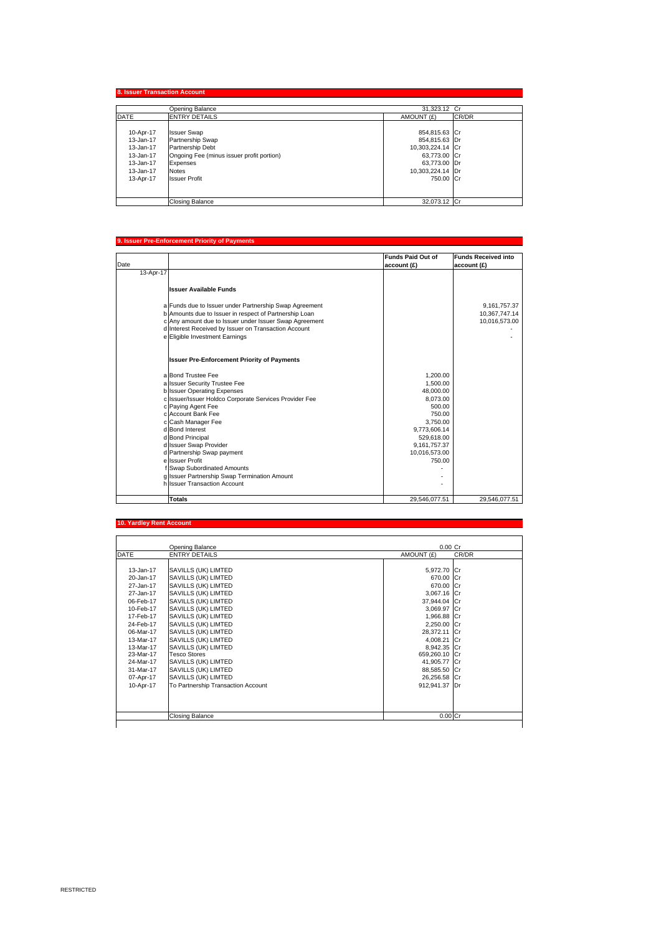|             | Opening Balance                           | 31.323.12 Cr     |       |
|-------------|-------------------------------------------|------------------|-------|
| <b>DATE</b> | <b>ENTRY DETAILS</b>                      | AMOUNT (£)       | CR/DR |
| 10-Apr-17   | <b>Issuer Swap</b>                        | 854,815.63 Cr    |       |
| 13-Jan-17   | Partnership Swap                          | 854,815.63 Dr    |       |
| 13-Jan-17   | Partnership Debt                          | 10,303,224.14 Cr |       |
| 13-Jan-17   | Ongoing Fee (minus issuer profit portion) | 63,773.00 Cr     |       |
| 13-Jan-17   | Expenses                                  | 63,773.00 Dr     |       |
| 13-Jan-17   | <b>Notes</b>                              | 10,303,224.14 Dr |       |
| 13-Apr-17   | <b>Issuer Profit</b>                      | 750.00 Cr        |       |
|             |                                           |                  |       |
|             | <b>Closing Balance</b>                    | 32,073.12 Cr     |       |

#### **9. Issuer Pre-Enforcement Priority of Payments**

|           |                                                        | <b>Funds Paid Out of</b> | <b>Funds Received into</b> |
|-----------|--------------------------------------------------------|--------------------------|----------------------------|
| Date      |                                                        | account (£)              | account (£)                |
| 13-Apr-17 |                                                        |                          |                            |
|           |                                                        |                          |                            |
|           | <b>Issuer Available Funds</b>                          |                          |                            |
|           |                                                        |                          |                            |
|           | a Funds due to Issuer under Partnership Swap Agreement |                          | 9,161,757.37               |
|           | b Amounts due to Issuer in respect of Partnership Loan |                          | 10,367,747.14              |
|           | c Any amount due to Issuer under Issuer Swap Agreement |                          | 10,016,573.00              |
|           | d Interest Received by Issuer on Transaction Account   |                          |                            |
|           | e Eligible Investment Earnings                         |                          |                            |
|           |                                                        |                          |                            |
|           | <b>Issuer Pre-Enforcement Priority of Payments</b>     |                          |                            |
|           |                                                        |                          |                            |
|           | a Bond Trustee Fee                                     | 1.200.00                 |                            |
|           | a Issuer Security Trustee Fee                          | 1,500.00                 |                            |
|           | b Issuer Operating Expenses                            | 48,000.00                |                            |
|           | c Issuer/Issuer Holdco Corporate Services Provider Fee | 8.073.00                 |                            |
|           | c Paying Agent Fee                                     | 500.00                   |                            |
|           | c Account Bank Fee                                     | 750.00                   |                            |
|           | c Cash Manager Fee                                     | 3.750.00                 |                            |
|           | d Bond Interest                                        | 9.773.606.14             |                            |
|           | d Bond Principal                                       | 529,618.00               |                            |
|           | d Issuer Swap Provider                                 | 9,161,757.37             |                            |
|           | d Partnership Swap payment                             | 10,016,573.00            |                            |
|           | e Issuer Profit                                        | 750.00                   |                            |
|           | f Swap Subordinated Amounts                            |                          |                            |
|           | g Issuer Partnership Swap Termination Amount           |                          |                            |
|           | h Issuer Transaction Account                           |                          |                            |
|           | <b>Totals</b>                                          | 29,546,077.51            | 29,546,077.51              |

#### **10. Yardley Rent Acc**

|             | Opening Balance                    | $0.00$ Cr     |       |
|-------------|------------------------------------|---------------|-------|
| <b>DATE</b> | <b>ENTRY DETAILS</b>               | AMOUNT (£)    | CR/DR |
|             |                                    |               |       |
| 13-Jan-17   | SAVILLS (UK) LIMTED                | 5,972.70 Cr   |       |
| 20-Jan-17   | SAVILLS (UK) LIMTED                | 670.00 Cr     |       |
| 27-Jan-17   | SAVILLS (UK) LIMTED                | 670.00 Cr     |       |
| 27-Jan-17   | SAVILLS (UK) LIMTED                | 3,067.16 Cr   |       |
| 06-Feb-17   | SAVILLS (UK) LIMTED                | 37,944.04 Cr  |       |
| 10-Feb-17   | SAVILLS (UK) LIMTED                | 3.069.97 Cr   |       |
| 17-Feb-17   | SAVILLS (UK) LIMTED                | 1,966.88 Cr   |       |
| 24-Feb-17   | SAVILLS (UK) LIMTED                | 2,250.00 Cr   |       |
| 06-Mar-17   | SAVILLS (UK) LIMTED                | 28,372.11 Cr  |       |
| 13-Mar-17   | SAVILLS (UK) LIMTED                | 4,008.21 Cr   |       |
| 13-Mar-17   | SAVILLS (UK) LIMTED                | 8.942.35 Cr   |       |
| 23-Mar-17   | <b>Tesco Stores</b>                | 659,260.10 Cr |       |
| 24-Mar-17   | SAVILLS (UK) LIMTED                | 41,905.77 Cr  |       |
| 31-Mar-17   | SAVILLS (UK) LIMTED                | 88,585.50 Cr  |       |
| 07-Apr-17   | SAVILLS (UK) LIMTED                | 26,256.58 Cr  |       |
| 10-Apr-17   | To Partnership Transaction Account | 912,941.37 Dr |       |
|             |                                    |               |       |
|             |                                    |               |       |
|             |                                    |               |       |
|             | <b>Closing Balance</b>             | 0.00 Cr       |       |